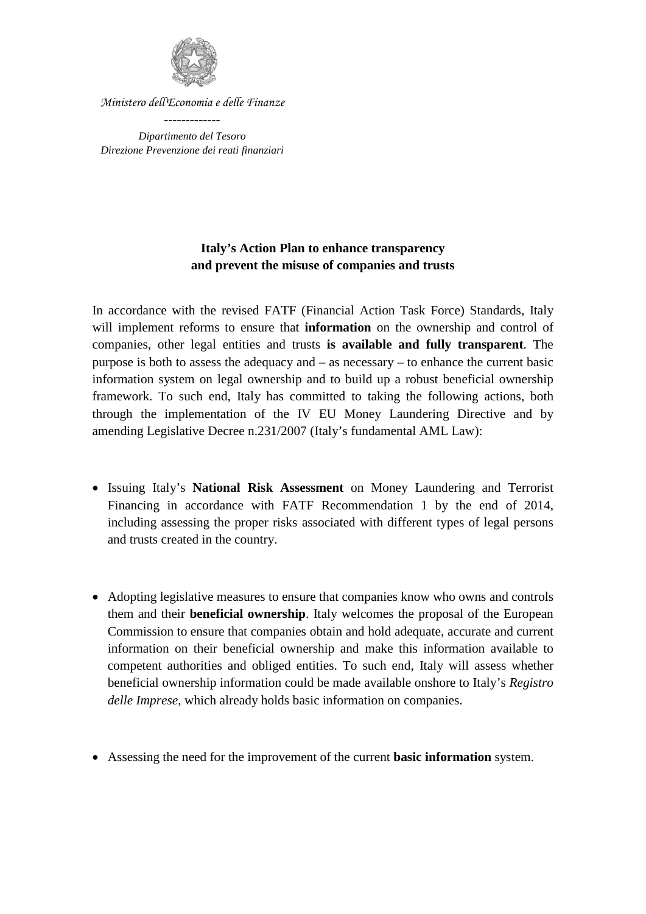

*Ministero dell'Economia e delle Finanze*

*Dipartimento del Tesoro Direzione Prevenzione dei reati finanziari*

## **Italy's Action Plan to enhance transparency and prevent the misuse of companies and trusts**

In accordance with the revised FATF (Financial Action Task Force) Standards, Italy will implement reforms to ensure that **information** on the ownership and control of companies, other legal entities and trusts **is available and fully transparent**. The purpose is both to assess the adequacy and – as necessary – to enhance the current basic information system on legal ownership and to build up a robust beneficial ownership framework. To such end, Italy has committed to taking the following actions, both through the implementation of the IV EU Money Laundering Directive and by amending Legislative Decree n.231/2007 (Italy's fundamental AML Law):

- Issuing Italy's **National Risk Assessment** on Money Laundering and Terrorist Financing in accordance with FATF Recommendation 1 by the end of 2014, including assessing the proper risks associated with different types of legal persons and trusts created in the country.
- Adopting legislative measures to ensure that companies know who owns and controls them and their **beneficial ownership**. Italy welcomes the proposal of the European Commission to ensure that companies obtain and hold adequate, accurate and current information on their beneficial ownership and make this information available to competent authorities and obliged entities. To such end, Italy will assess whether beneficial ownership information could be made available onshore to Italy's *Registro delle Imprese*, which already holds basic information on companies.
- Assessing the need for the improvement of the current **basic information** system.